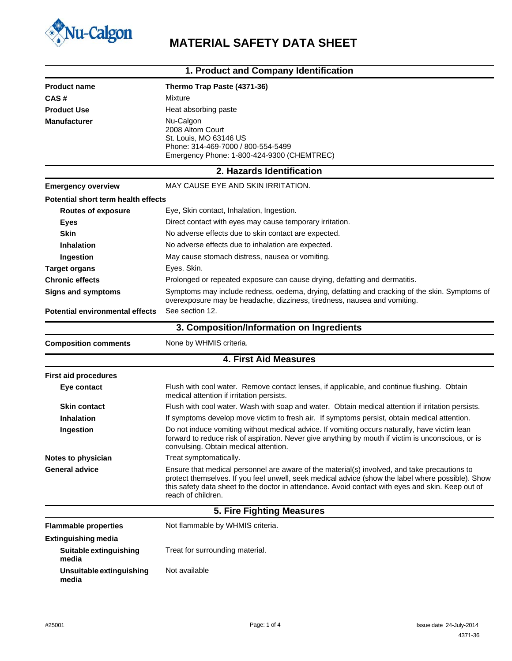

# **Nu-Calgon**<br>MATERIAL SAFETY DATA SHEET

|                                        | 1. Product and Company Identification                                                                                                                                                                                                                                                                                        |
|----------------------------------------|------------------------------------------------------------------------------------------------------------------------------------------------------------------------------------------------------------------------------------------------------------------------------------------------------------------------------|
| <b>Product name</b>                    | Thermo Trap Paste (4371-36)                                                                                                                                                                                                                                                                                                  |
| CAS#                                   | Mixture                                                                                                                                                                                                                                                                                                                      |
| <b>Product Use</b>                     | Heat absorbing paste                                                                                                                                                                                                                                                                                                         |
| <b>Manufacturer</b>                    | Nu-Calgon<br>2008 Altom Court<br>St. Louis, MO 63146 US<br>Phone: 314-469-7000 / 800-554-5499<br>Emergency Phone: 1-800-424-9300 (CHEMTREC)                                                                                                                                                                                  |
|                                        | 2. Hazards Identification                                                                                                                                                                                                                                                                                                    |
| <b>Emergency overview</b>              | MAY CAUSE EYE AND SKIN IRRITATION.                                                                                                                                                                                                                                                                                           |
| Potential short term health effects    |                                                                                                                                                                                                                                                                                                                              |
| <b>Routes of exposure</b>              | Eye, Skin contact, Inhalation, Ingestion.                                                                                                                                                                                                                                                                                    |
| <b>Eyes</b>                            | Direct contact with eyes may cause temporary irritation.                                                                                                                                                                                                                                                                     |
| Skin                                   | No adverse effects due to skin contact are expected.                                                                                                                                                                                                                                                                         |
| <b>Inhalation</b>                      | No adverse effects due to inhalation are expected.                                                                                                                                                                                                                                                                           |
| Ingestion                              | May cause stomach distress, nausea or vomiting.                                                                                                                                                                                                                                                                              |
| <b>Target organs</b>                   | Eyes. Skin.                                                                                                                                                                                                                                                                                                                  |
| <b>Chronic effects</b>                 | Prolonged or repeated exposure can cause drying, defatting and dermatitis.                                                                                                                                                                                                                                                   |
| <b>Signs and symptoms</b>              | Symptoms may include redness, oedema, drying, defatting and cracking of the skin. Symptoms of<br>overexposure may be headache, dizziness, tiredness, nausea and vomiting.                                                                                                                                                    |
| <b>Potential environmental effects</b> | See section 12.                                                                                                                                                                                                                                                                                                              |
|                                        | 3. Composition/Information on Ingredients                                                                                                                                                                                                                                                                                    |
| <b>Composition comments</b>            | None by WHMIS criteria.                                                                                                                                                                                                                                                                                                      |
|                                        | <b>4. First Aid Measures</b>                                                                                                                                                                                                                                                                                                 |
| <b>First aid procedures</b>            |                                                                                                                                                                                                                                                                                                                              |
| Eye contact                            | Flush with cool water. Remove contact lenses, if applicable, and continue flushing. Obtain<br>medical attention if irritation persists.                                                                                                                                                                                      |
| <b>Skin contact</b>                    | Flush with cool water. Wash with soap and water. Obtain medical attention if irritation persists.                                                                                                                                                                                                                            |
| <b>Inhalation</b>                      | If symptoms develop move victim to fresh air. If symptoms persist, obtain medical attention.                                                                                                                                                                                                                                 |
| Ingestion                              | Do not induce vomiting without medical advice. If vomiting occurs naturally, have victim lean<br>forward to reduce risk of aspiration. Never give anything by mouth if victim is unconscious, or is<br>convulsing. Obtain medical attention.                                                                                 |
| Notes to physician                     | Treat symptomatically.                                                                                                                                                                                                                                                                                                       |
| <b>General advice</b>                  | Ensure that medical personnel are aware of the material(s) involved, and take precautions to<br>protect themselves. If you feel unwell, seek medical advice (show the label where possible). Show<br>this safety data sheet to the doctor in attendance. Avoid contact with eyes and skin. Keep out of<br>reach of children. |
|                                        | 5. Fire Fighting Measures                                                                                                                                                                                                                                                                                                    |
| <b>Flammable properties</b>            | Not flammable by WHMIS criteria.                                                                                                                                                                                                                                                                                             |
| <b>Extinguishing media</b>             |                                                                                                                                                                                                                                                                                                                              |
| Suitable extinguishing<br>media        | Treat for surrounding material.                                                                                                                                                                                                                                                                                              |
| Unsuitable extinguishing<br>media      | Not available                                                                                                                                                                                                                                                                                                                |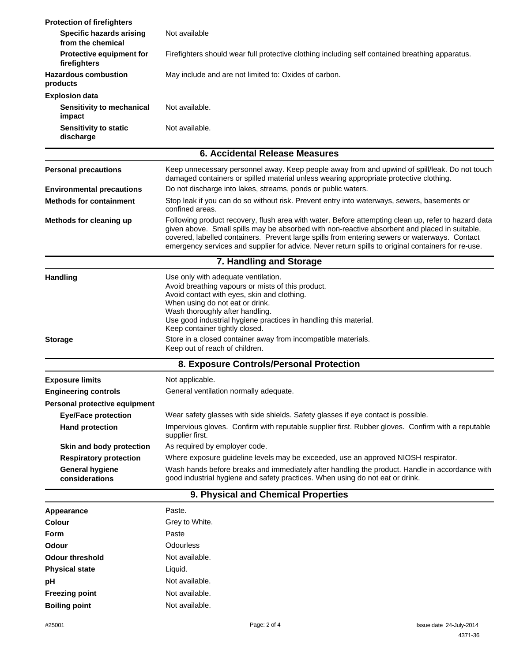| <b>Protection of firefighters</b>                    |                                                                                                                                                                                                                                                                                                                                                                                                             |  |  |
|------------------------------------------------------|-------------------------------------------------------------------------------------------------------------------------------------------------------------------------------------------------------------------------------------------------------------------------------------------------------------------------------------------------------------------------------------------------------------|--|--|
| <b>Specific hazards arising</b><br>from the chemical | Not available                                                                                                                                                                                                                                                                                                                                                                                               |  |  |
| <b>Protective equipment for</b><br>firefighters      | Firefighters should wear full protective clothing including self contained breathing apparatus.                                                                                                                                                                                                                                                                                                             |  |  |
| <b>Hazardous combustion</b><br>products              | May include and are not limited to: Oxides of carbon.                                                                                                                                                                                                                                                                                                                                                       |  |  |
| <b>Explosion data</b>                                |                                                                                                                                                                                                                                                                                                                                                                                                             |  |  |
| Sensitivity to mechanical<br>impact                  | Not available.                                                                                                                                                                                                                                                                                                                                                                                              |  |  |
| <b>Sensitivity to static</b><br>discharge            | Not available.                                                                                                                                                                                                                                                                                                                                                                                              |  |  |
|                                                      | <b>6. Accidental Release Measures</b>                                                                                                                                                                                                                                                                                                                                                                       |  |  |
| <b>Personal precautions</b>                          | Keep unnecessary personnel away. Keep people away from and upwind of spill/leak. Do not touch<br>damaged containers or spilled material unless wearing appropriate protective clothing.                                                                                                                                                                                                                     |  |  |
| <b>Environmental precautions</b>                     | Do not discharge into lakes, streams, ponds or public waters.                                                                                                                                                                                                                                                                                                                                               |  |  |
| <b>Methods for containment</b>                       | Stop leak if you can do so without risk. Prevent entry into waterways, sewers, basements or<br>confined areas.                                                                                                                                                                                                                                                                                              |  |  |
| Methods for cleaning up                              | Following product recovery, flush area with water. Before attempting clean up, refer to hazard data<br>given above. Small spills may be absorbed with non-reactive absorbent and placed in suitable,<br>covered, labelled containers. Prevent large spills from entering sewers or waterways. Contact<br>emergency services and supplier for advice. Never return spills to original containers for re-use. |  |  |
|                                                      | 7. Handling and Storage                                                                                                                                                                                                                                                                                                                                                                                     |  |  |
| <b>Handling</b>                                      | Use only with adequate ventilation.<br>Avoid breathing vapours or mists of this product.<br>Avoid contact with eyes, skin and clothing.<br>When using do not eat or drink.<br>Wash thoroughly after handling.<br>Use good industrial hygiene practices in handling this material.<br>Keep container tightly closed.                                                                                         |  |  |
| <b>Storage</b>                                       | Store in a closed container away from incompatible materials.<br>Keep out of reach of children.                                                                                                                                                                                                                                                                                                             |  |  |
|                                                      | 8. Exposure Controls/Personal Protection                                                                                                                                                                                                                                                                                                                                                                    |  |  |
| <b>Exposure limits</b>                               | Not applicable.                                                                                                                                                                                                                                                                                                                                                                                             |  |  |
| <b>Engineering controls</b>                          | General ventilation normally adequate.                                                                                                                                                                                                                                                                                                                                                                      |  |  |
| Personal protective equipment                        |                                                                                                                                                                                                                                                                                                                                                                                                             |  |  |
| <b>Eye/Face protection</b>                           | Wear safety glasses with side shields. Safety glasses if eye contact is possible.                                                                                                                                                                                                                                                                                                                           |  |  |
| <b>Hand protection</b>                               | Impervious gloves. Confirm with reputable supplier first. Rubber gloves. Confirm with a reputable<br>supplier first.                                                                                                                                                                                                                                                                                        |  |  |
| Skin and body protection                             | As required by employer code.                                                                                                                                                                                                                                                                                                                                                                               |  |  |
| <b>Respiratory protection</b>                        | Where exposure guideline levels may be exceeded, use an approved NIOSH respirator.                                                                                                                                                                                                                                                                                                                          |  |  |
| <b>General hygiene</b><br>considerations             | Wash hands before breaks and immediately after handling the product. Handle in accordance with<br>good industrial hygiene and safety practices. When using do not eat or drink.                                                                                                                                                                                                                             |  |  |
|                                                      | 9. Physical and Chemical Properties                                                                                                                                                                                                                                                                                                                                                                         |  |  |
| Appearance                                           | Paste.                                                                                                                                                                                                                                                                                                                                                                                                      |  |  |
| <b>Colour</b>                                        | Grey to White.                                                                                                                                                                                                                                                                                                                                                                                              |  |  |
| <b>Form</b>                                          | Paste                                                                                                                                                                                                                                                                                                                                                                                                       |  |  |
| <b>Odour</b>                                         | Odourless                                                                                                                                                                                                                                                                                                                                                                                                   |  |  |
| <b>Odour threshold</b>                               | Not available.                                                                                                                                                                                                                                                                                                                                                                                              |  |  |
| <b>Physical state</b>                                | Liquid.                                                                                                                                                                                                                                                                                                                                                                                                     |  |  |
| рH                                                   | Not available.                                                                                                                                                                                                                                                                                                                                                                                              |  |  |
| <b>Freezing point</b>                                | Not available.                                                                                                                                                                                                                                                                                                                                                                                              |  |  |
| <b>Boiling point</b>                                 | Not available.                                                                                                                                                                                                                                                                                                                                                                                              |  |  |
|                                                      |                                                                                                                                                                                                                                                                                                                                                                                                             |  |  |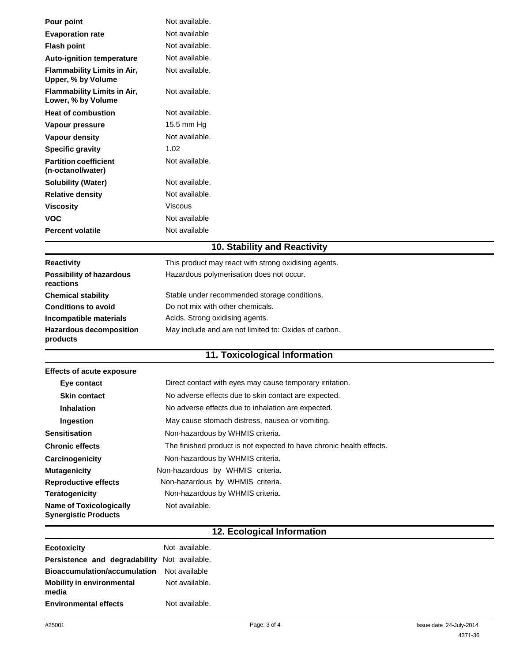| Pour point                                               | Not available. |
|----------------------------------------------------------|----------------|
| <b>Evaporation rate</b>                                  | Not available  |
| <b>Flash point</b>                                       | Not available. |
| <b>Auto-ignition temperature</b>                         | Not available. |
| <b>Flammability Limits in Air,</b><br>Upper, % by Volume | Not available. |
| <b>Flammability Limits in Air,</b><br>Lower, % by Volume | Not available. |
| <b>Heat of combustion</b>                                | Not available. |
| Vapour pressure                                          | 15.5 mm Hg     |
| Vapour density                                           | Not available. |
| <b>Specific gravity</b>                                  | 1.02           |
| <b>Partition coefficient</b><br>(n-octanol/water)        | Not available. |
| <b>Solubility (Water)</b>                                | Not available. |
| <b>Relative density</b>                                  | Not available. |
| <b>Viscosity</b>                                         | Viscous        |
| <b>VOC</b>                                               | Not available  |
| <b>Percent volatile</b>                                  | Not available  |
|                                                          |                |

## **10. Stability and Reactivity**

| <b>Reactivity</b>                            | This product may react with strong oxidising agents.  |
|----------------------------------------------|-------------------------------------------------------|
| <b>Possibility of hazardous</b><br>reactions | Hazardous polymerisation does not occur.              |
| <b>Chemical stability</b>                    | Stable under recommended storage conditions.          |
| <b>Conditions to avoid</b>                   | Do not mix with other chemicals.                      |
| Incompatible materials                       | Acids. Strong oxidising agents.                       |
| <b>Hazardous decomposition</b><br>products   | May include and are not limited to: Oxides of carbon. |

## **11. Toxicological Information**

| <b>Effects of acute exposure</b>                              |                                                                      |  |
|---------------------------------------------------------------|----------------------------------------------------------------------|--|
| Eye contact                                                   | Direct contact with eyes may cause temporary irritation.             |  |
| <b>Skin contact</b>                                           | No adverse effects due to skin contact are expected.                 |  |
| <b>Inhalation</b>                                             | No adverse effects due to inhalation are expected.                   |  |
| Ingestion                                                     | May cause stomach distress, nausea or vomiting.                      |  |
| <b>Sensitisation</b>                                          | Non-hazardous by WHMIS criteria.                                     |  |
| <b>Chronic effects</b>                                        | The finished product is not expected to have chronic health effects. |  |
| Carcinogenicity                                               | Non-hazardous by WHMIS criteria.                                     |  |
| <b>Mutagenicity</b>                                           | Non-hazardous by WHMIS criteria.                                     |  |
| <b>Reproductive effects</b>                                   | Non-hazardous by WHMIS criteria.                                     |  |
| <b>Teratogenicity</b>                                         | Non-hazardous by WHMIS criteria.                                     |  |
| <b>Name of Toxicologically</b><br><b>Synergistic Products</b> | Not available.                                                       |  |

## **12. Ecological Information**

| <b>Ecotoxicity</b>                           | Not available. |
|----------------------------------------------|----------------|
| Persistence and degradability Not available. |                |
| Bioaccumulation/accumulation                 | Not available  |
| <b>Mobility in environmental</b><br>media    | Not available. |
| <b>Environmental effects</b>                 | Not available. |